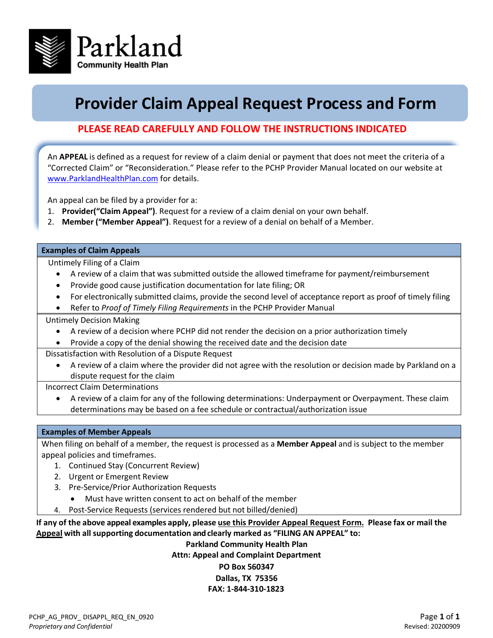

## **Provider Claim Appeal Request Process and Form**

## **PLEASE READ CAREFULLY AND FOLLOW THE INSTRUCTIONS INDICATED**

An **APPEAL** is defined as a request for review of a claim denial or payment that does not meet the criteria of a "Corrected Claim" or "Reconsideration." Please refer to the PCHP Provider Manual located on our website at [www.ParklandHealthPlan.com](http://www.parklandhealthplan.com/) for details.

An appeal can be filed by a provider for a:

- 1. **Provider("Claim Appeal")**. Request for a review of a claim denial on your own behalf.
- 2. **Member ("Member Appeal")**. Request for a review of a denial on behalf of a Member.

#### **Examples of Claim Appeals**

Untimely Filing of a Claim

- A review of a claim that was submitted outside the allowed timeframe for payment/reimbursement
- Provide good cause justification documentation for late filing; OR
- For electronically submitted claims, provide the second level of acceptance report as proof of timely filing
- Refer to *Proof of Timely Filing Requirements* in the PCHP Provider Manual

Untimely Decision Making

- A review of a decision where PCHP did not render the decision on a prior authorization timely
- Provide a copy of the denial showing the received date and the decision date
- Dissatisfaction with Resolution of a Dispute Request
	- A review of a claim where the provider did not agree with the resolution or decision made by Parkland on a dispute request for the claim

Incorrect Claim Determinations

• A review of a claim for any of the following determinations: Underpayment or Overpayment. These claim determinations may be based on a fee schedule or contractual/authorization issue

#### **Examples of Member Appeals**

When filing on behalf of a member, the request is processed as a **Member Appeal** and is subject to the member appeal policies and timeframes.

- 1. Continued Stay (Concurrent Review)
- 2. Urgent or Emergent Review
- 3. Pre-Service/Prior Authorization Requests
	- Must have written consent to act on behalf of the member
- 4. Post-Service Requests (services rendered but not billed/denied)

**If any of the above appeal examples apply, please use this Provider Appeal Request Form. Please fax or mail the Appeal with all supporting documentation and clearly marked as "FILING AN APPEAL" to:**

### **Parkland Community Health Plan Attn: Appeal and Complaint Department PO Box 560347 Dallas, TX 75356 FAX: 1-844-310-1823**